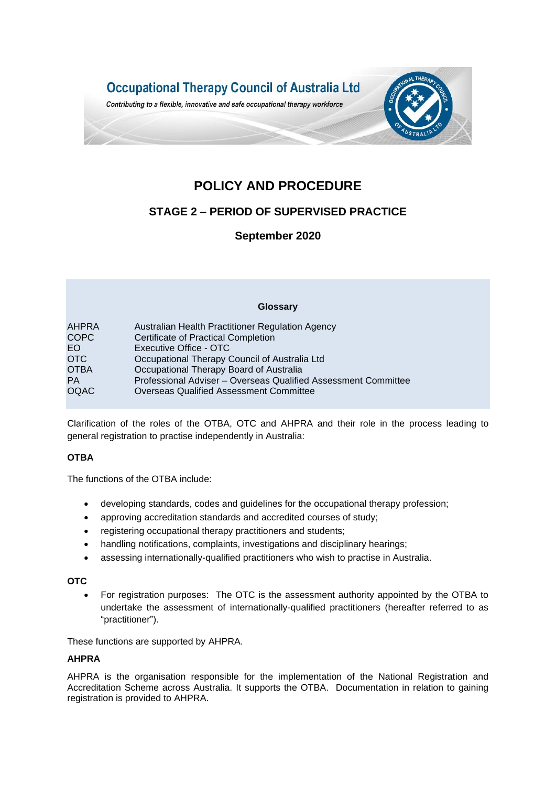

# **POLICY AND PROCEDURE**

## **STAGE 2 – PERIOD OF SUPERVISED PRACTICE**

## **September 2020**

|             | Glossary                                                       |  |
|-------------|----------------------------------------------------------------|--|
| AHPRA       | Australian Health Practitioner Regulation Agency               |  |
| <b>COPC</b> | Certificate of Practical Completion                            |  |
| EO.         | Executive Office - OTC                                         |  |
| <b>OTC</b>  | Occupational Therapy Council of Australia Ltd                  |  |
| <b>OTBA</b> | Occupational Therapy Board of Australia                        |  |
| <b>PA</b>   | Professional Adviser - Overseas Qualified Assessment Committee |  |
| <b>OQAC</b> | <b>Overseas Qualified Assessment Committee</b>                 |  |

Clarification of the roles of the OTBA, OTC and AHPRA and their role in the process leading to general registration to practise independently in Australia:

## **OTBA**

The functions of the OTBA include:

- developing standards, codes and guidelines for the occupational therapy profession;
- approving accreditation standards and accredited courses of study;
- registering occupational therapy practitioners and students;
- handling notifications, complaints, investigations and disciplinary hearings;
- assessing internationally-qualified practitioners who wish to practise in Australia.

## **OTC**

• For registration purposes: The OTC is the assessment authority appointed by the OTBA to undertake the assessment of internationally-qualified practitioners (hereafter referred to as "practitioner").

These functions are supported by AHPRA.

## **AHPRA**

AHPRA is the organisation responsible for the implementation of the National Registration and Accreditation Scheme across Australia. It supports the OTBA. Documentation in relation to gaining registration is provided to AHPRA.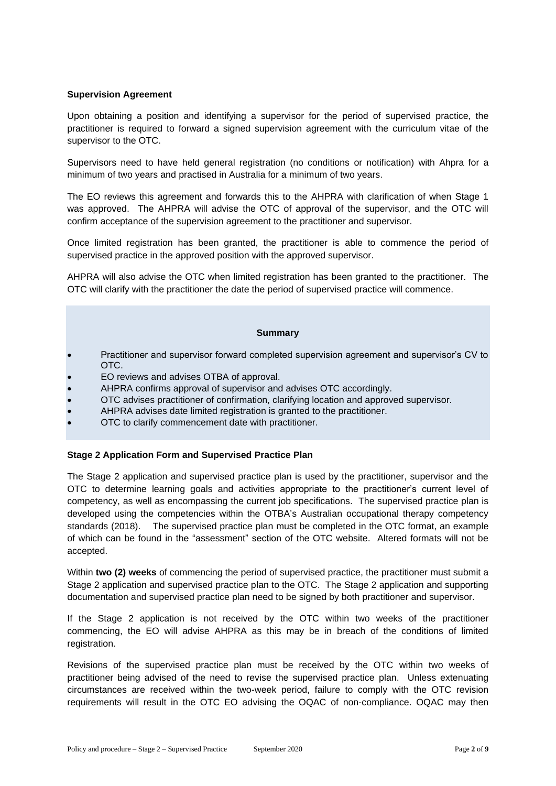## **Supervision Agreement**

Upon obtaining a position and identifying a supervisor for the period of supervised practice, the practitioner is required to forward a signed supervision agreement with the curriculum vitae of the supervisor to the OTC.

Supervisors need to have held general registration (no conditions or notification) with Ahpra for a minimum of two years and practised in Australia for a minimum of two years.

The EO reviews this agreement and forwards this to the AHPRA with clarification of when Stage 1 was approved. The AHPRA will advise the OTC of approval of the supervisor, and the OTC will confirm acceptance of the supervision agreement to the practitioner and supervisor.

Once limited registration has been granted, the practitioner is able to commence the period of supervised practice in the approved position with the approved supervisor.

AHPRA will also advise the OTC when limited registration has been granted to the practitioner. The OTC will clarify with the practitioner the date the period of supervised practice will commence.

## **Summary**

- Practitioner and supervisor forward completed supervision agreement and supervisor's CV to OTC.
- EO reviews and advises OTBA of approval.
- AHPRA confirms approval of supervisor and advises OTC accordingly.
- OTC advises practitioner of confirmation, clarifying location and approved supervisor.
- AHPRA advises date limited registration is granted to the practitioner.
- OTC to clarify commencement date with practitioner.

## **Stage 2 Application Form and Supervised Practice Plan**

The Stage 2 application and supervised practice plan is used by the practitioner, supervisor and the OTC to determine learning goals and activities appropriate to the practitioner's current level of competency, as well as encompassing the current job specifications. The supervised practice plan is developed using the competencies within the OTBA's Australian occupational therapy competency standards (2018). The supervised practice plan must be completed in the OTC format, an example of which can be found in the "assessment" section of the OTC website. Altered formats will not be accepted.

Within **two (2) weeks** of commencing the period of supervised practice, the practitioner must submit a Stage 2 application and supervised practice plan to the OTC. The Stage 2 application and supporting documentation and supervised practice plan need to be signed by both practitioner and supervisor.

If the Stage 2 application is not received by the OTC within two weeks of the practitioner commencing, the EO will advise AHPRA as this may be in breach of the conditions of limited registration.

Revisions of the supervised practice plan must be received by the OTC within two weeks of practitioner being advised of the need to revise the supervised practice plan. Unless extenuating circumstances are received within the two-week period, failure to comply with the OTC revision requirements will result in the OTC EO advising the OQAC of non-compliance. OQAC may then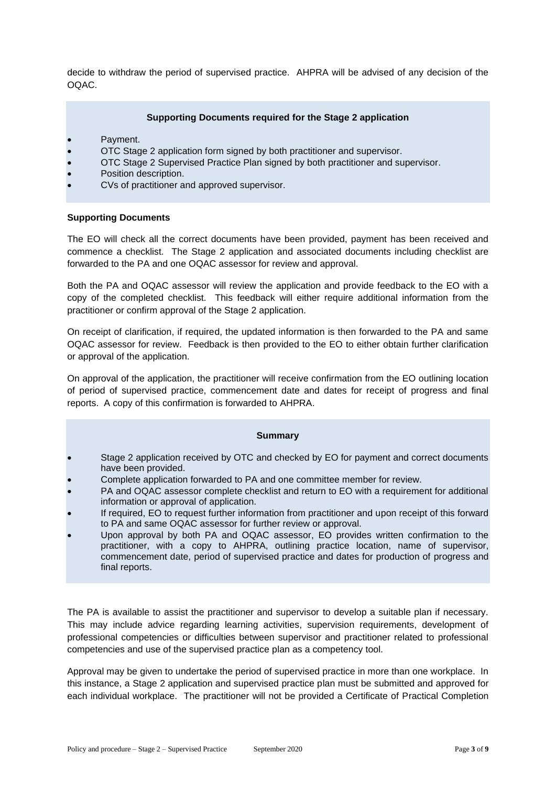decide to withdraw the period of supervised practice. AHPRA will be advised of any decision of the OQAC.

## **Supporting Documents required for the Stage 2 application**

- Payment.
- OTC Stage 2 application form signed by both practitioner and supervisor.
- OTC Stage 2 Supervised Practice Plan signed by both practitioner and supervisor.
- Position description.
- CVs of practitioner and approved supervisor.

## **Supporting Documents**

The EO will check all the correct documents have been provided, payment has been received and commence a checklist. The Stage 2 application and associated documents including checklist are forwarded to the PA and one OQAC assessor for review and approval.

Both the PA and OQAC assessor will review the application and provide feedback to the EO with a copy of the completed checklist. This feedback will either require additional information from the practitioner or confirm approval of the Stage 2 application.

On receipt of clarification, if required, the updated information is then forwarded to the PA and same OQAC assessor for review. Feedback is then provided to the EO to either obtain further clarification or approval of the application.

On approval of the application, the practitioner will receive confirmation from the EO outlining location of period of supervised practice, commencement date and dates for receipt of progress and final reports. A copy of this confirmation is forwarded to AHPRA.

## **Summary**

- Stage 2 application received by OTC and checked by EO for payment and correct documents have been provided.
- Complete application forwarded to PA and one committee member for review.
- PA and OQAC assessor complete checklist and return to EO with a requirement for additional information or approval of application.
- If required, EO to request further information from practitioner and upon receipt of this forward to PA and same OQAC assessor for further review or approval.
- Upon approval by both PA and OQAC assessor, EO provides written confirmation to the practitioner, with a copy to AHPRA, outlining practice location, name of supervisor, commencement date, period of supervised practice and dates for production of progress and final reports.

The PA is available to assist the practitioner and supervisor to develop a suitable plan if necessary. This may include advice regarding learning activities, supervision requirements, development of professional competencies or difficulties between supervisor and practitioner related to professional competencies and use of the supervised practice plan as a competency tool.

Approval may be given to undertake the period of supervised practice in more than one workplace. In this instance, a Stage 2 application and supervised practice plan must be submitted and approved for each individual workplace. The practitioner will not be provided a Certificate of Practical Completion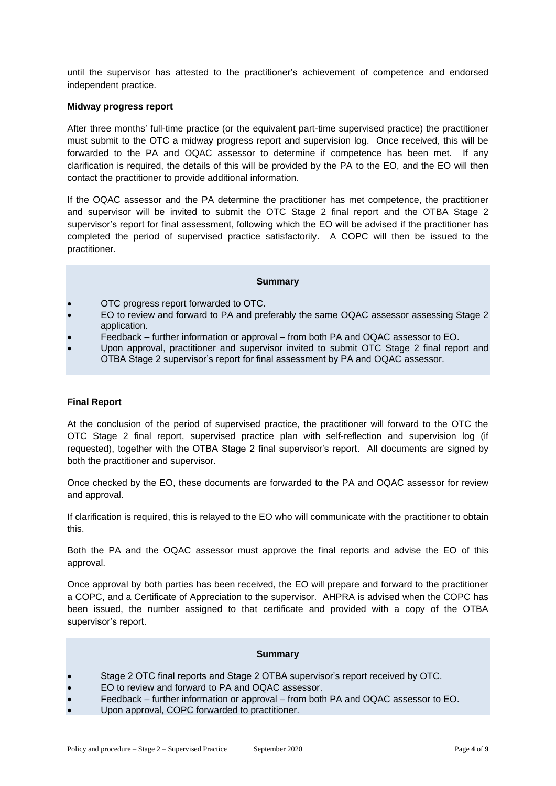until the supervisor has attested to the practitioner's achievement of competence and endorsed independent practice.

#### **Midway progress report**

After three months' full-time practice (or the equivalent part-time supervised practice) the practitioner must submit to the OTC a midway progress report and supervision log. Once received, this will be forwarded to the PA and OQAC assessor to determine if competence has been met. If any clarification is required, the details of this will be provided by the PA to the EO, and the EO will then contact the practitioner to provide additional information.

If the OQAC assessor and the PA determine the practitioner has met competence, the practitioner and supervisor will be invited to submit the OTC Stage 2 final report and the OTBA Stage 2 supervisor's report for final assessment, following which the EO will be advised if the practitioner has completed the period of supervised practice satisfactorily. A COPC will then be issued to the practitioner.

#### **Summary**

- OTC progress report forwarded to OTC.
- EO to review and forward to PA and preferably the same OQAC assessor assessing Stage 2 application.
- Feedback further information or approval from both PA and OQAC assessor to EO.
- Upon approval, practitioner and supervisor invited to submit OTC Stage 2 final report and OTBA Stage 2 supervisor's report for final assessment by PA and OQAC assessor.

## **Final Report**

At the conclusion of the period of supervised practice, the practitioner will forward to the OTC the OTC Stage 2 final report, supervised practice plan with self-reflection and supervision log (if requested), together with the OTBA Stage 2 final supervisor's report. All documents are signed by both the practitioner and supervisor.

Once checked by the EO, these documents are forwarded to the PA and OQAC assessor for review and approval.

If clarification is required, this is relayed to the EO who will communicate with the practitioner to obtain this.

Both the PA and the OQAC assessor must approve the final reports and advise the EO of this approval.

Once approval by both parties has been received, the EO will prepare and forward to the practitioner a COPC, and a Certificate of Appreciation to the supervisor. AHPRA is advised when the COPC has been issued, the number assigned to that certificate and provided with a copy of the OTBA supervisor's report.

#### **Summary**

- Stage 2 OTC final reports and Stage 2 OTBA supervisor's report received by OTC.
- EO to review and forward to PA and OQAC assessor.
- Feedback further information or approval from both PA and OQAC assessor to EO.
- Upon approval, COPC forwarded to practitioner.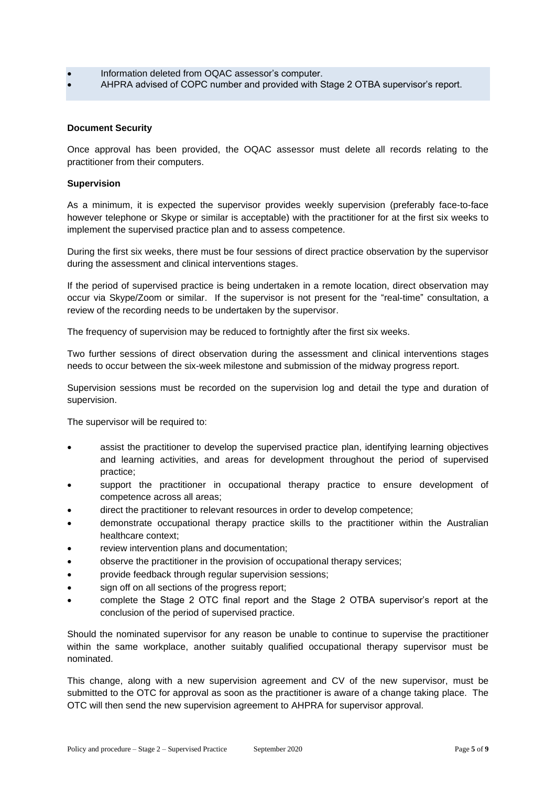- Information deleted from OQAC assessor's computer.
- AHPRA advised of COPC number and provided with Stage 2 OTBA supervisor's report.

## **Document Security**

Once approval has been provided, the OQAC assessor must delete all records relating to the practitioner from their computers.

## **Supervision**

As a minimum, it is expected the supervisor provides weekly supervision (preferably face-to-face however telephone or Skype or similar is acceptable) with the practitioner for at the first six weeks to implement the supervised practice plan and to assess competence.

During the first six weeks, there must be four sessions of direct practice observation by the supervisor during the assessment and clinical interventions stages.

If the period of supervised practice is being undertaken in a remote location, direct observation may occur via Skype/Zoom or similar. If the supervisor is not present for the "real-time" consultation, a review of the recording needs to be undertaken by the supervisor.

The frequency of supervision may be reduced to fortnightly after the first six weeks.

Two further sessions of direct observation during the assessment and clinical interventions stages needs to occur between the six-week milestone and submission of the midway progress report.

Supervision sessions must be recorded on the supervision log and detail the type and duration of supervision.

The supervisor will be required to:

- assist the practitioner to develop the supervised practice plan, identifying learning objectives and learning activities, and areas for development throughout the period of supervised practice;
- support the practitioner in occupational therapy practice to ensure development of competence across all areas;
- direct the practitioner to relevant resources in order to develop competence;
- demonstrate occupational therapy practice skills to the practitioner within the Australian healthcare context;
- review intervention plans and documentation;
- observe the practitioner in the provision of occupational therapy services;
- provide feedback through regular supervision sessions;
- sign off on all sections of the progress report;
- complete the Stage 2 OTC final report and the Stage 2 OTBA supervisor's report at the conclusion of the period of supervised practice.

Should the nominated supervisor for any reason be unable to continue to supervise the practitioner within the same workplace, another suitably qualified occupational therapy supervisor must be nominated.

This change, along with a new supervision agreement and CV of the new supervisor, must be submitted to the OTC for approval as soon as the practitioner is aware of a change taking place. The OTC will then send the new supervision agreement to AHPRA for supervisor approval.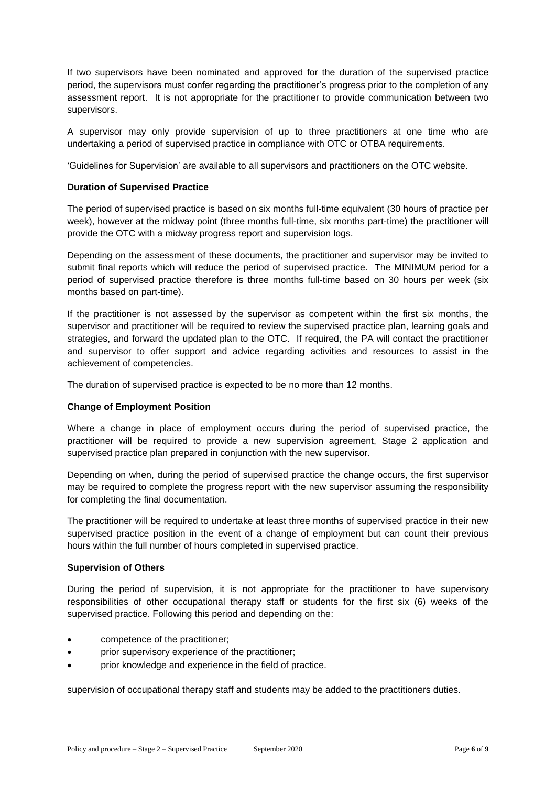If two supervisors have been nominated and approved for the duration of the supervised practice period, the supervisors must confer regarding the practitioner's progress prior to the completion of any assessment report. It is not appropriate for the practitioner to provide communication between two supervisors.

A supervisor may only provide supervision of up to three practitioners at one time who are undertaking a period of supervised practice in compliance with OTC or OTBA requirements.

'Guidelines for Supervision' are available to all supervisors and practitioners on the OTC website.

## **Duration of Supervised Practice**

The period of supervised practice is based on six months full-time equivalent (30 hours of practice per week), however at the midway point (three months full-time, six months part-time) the practitioner will provide the OTC with a midway progress report and supervision logs.

Depending on the assessment of these documents, the practitioner and supervisor may be invited to submit final reports which will reduce the period of supervised practice. The MINIMUM period for a period of supervised practice therefore is three months full-time based on 30 hours per week (six months based on part-time).

If the practitioner is not assessed by the supervisor as competent within the first six months, the supervisor and practitioner will be required to review the supervised practice plan, learning goals and strategies, and forward the updated plan to the OTC. If required, the PA will contact the practitioner and supervisor to offer support and advice regarding activities and resources to assist in the achievement of competencies.

The duration of supervised practice is expected to be no more than 12 months.

## **Change of Employment Position**

Where a change in place of employment occurs during the period of supervised practice, the practitioner will be required to provide a new supervision agreement, Stage 2 application and supervised practice plan prepared in conjunction with the new supervisor.

Depending on when, during the period of supervised practice the change occurs, the first supervisor may be required to complete the progress report with the new supervisor assuming the responsibility for completing the final documentation.

The practitioner will be required to undertake at least three months of supervised practice in their new supervised practice position in the event of a change of employment but can count their previous hours within the full number of hours completed in supervised practice.

## **Supervision of Others**

During the period of supervision, it is not appropriate for the practitioner to have supervisory responsibilities of other occupational therapy staff or students for the first six (6) weeks of the supervised practice. Following this period and depending on the:

- competence of the practitioner;
- prior supervisory experience of the practitioner;
- prior knowledge and experience in the field of practice.

supervision of occupational therapy staff and students may be added to the practitioners duties.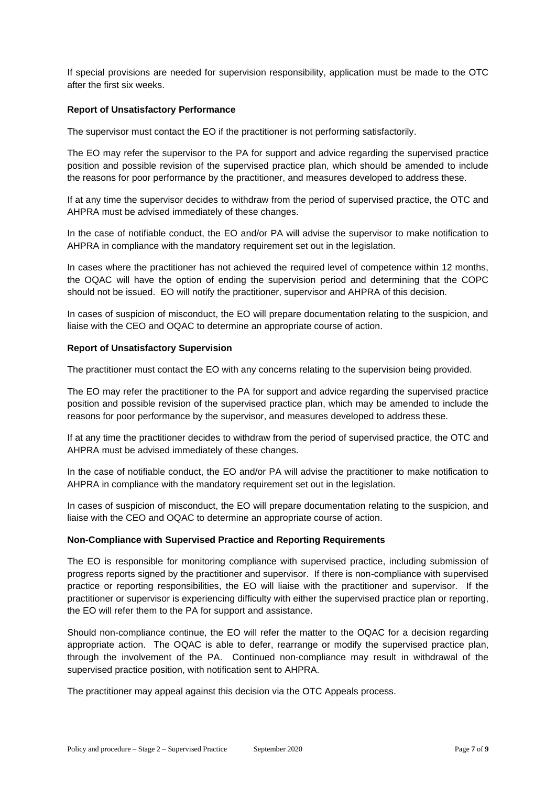If special provisions are needed for supervision responsibility, application must be made to the OTC after the first six weeks.

## **Report of Unsatisfactory Performance**

The supervisor must contact the EO if the practitioner is not performing satisfactorily.

The EO may refer the supervisor to the PA for support and advice regarding the supervised practice position and possible revision of the supervised practice plan, which should be amended to include the reasons for poor performance by the practitioner, and measures developed to address these.

If at any time the supervisor decides to withdraw from the period of supervised practice, the OTC and AHPRA must be advised immediately of these changes.

In the case of notifiable conduct, the EO and/or PA will advise the supervisor to make notification to AHPRA in compliance with the mandatory requirement set out in the legislation.

In cases where the practitioner has not achieved the required level of competence within 12 months, the OQAC will have the option of ending the supervision period and determining that the COPC should not be issued. EO will notify the practitioner, supervisor and AHPRA of this decision.

In cases of suspicion of misconduct, the EO will prepare documentation relating to the suspicion, and liaise with the CEO and OQAC to determine an appropriate course of action.

## **Report of Unsatisfactory Supervision**

The practitioner must contact the EO with any concerns relating to the supervision being provided.

The EO may refer the practitioner to the PA for support and advice regarding the supervised practice position and possible revision of the supervised practice plan, which may be amended to include the reasons for poor performance by the supervisor, and measures developed to address these.

If at any time the practitioner decides to withdraw from the period of supervised practice, the OTC and AHPRA must be advised immediately of these changes.

In the case of notifiable conduct, the EO and/or PA will advise the practitioner to make notification to AHPRA in compliance with the mandatory requirement set out in the legislation.

In cases of suspicion of misconduct, the EO will prepare documentation relating to the suspicion, and liaise with the CEO and OQAC to determine an appropriate course of action.

## **Non-Compliance with Supervised Practice and Reporting Requirements**

The EO is responsible for monitoring compliance with supervised practice, including submission of progress reports signed by the practitioner and supervisor. If there is non-compliance with supervised practice or reporting responsibilities, the EO will liaise with the practitioner and supervisor. If the practitioner or supervisor is experiencing difficulty with either the supervised practice plan or reporting, the EO will refer them to the PA for support and assistance.

Should non-compliance continue, the EO will refer the matter to the OQAC for a decision regarding appropriate action. The OQAC is able to defer, rearrange or modify the supervised practice plan, through the involvement of the PA. Continued non-compliance may result in withdrawal of the supervised practice position, with notification sent to AHPRA.

The practitioner may appeal against this decision via the OTC Appeals process.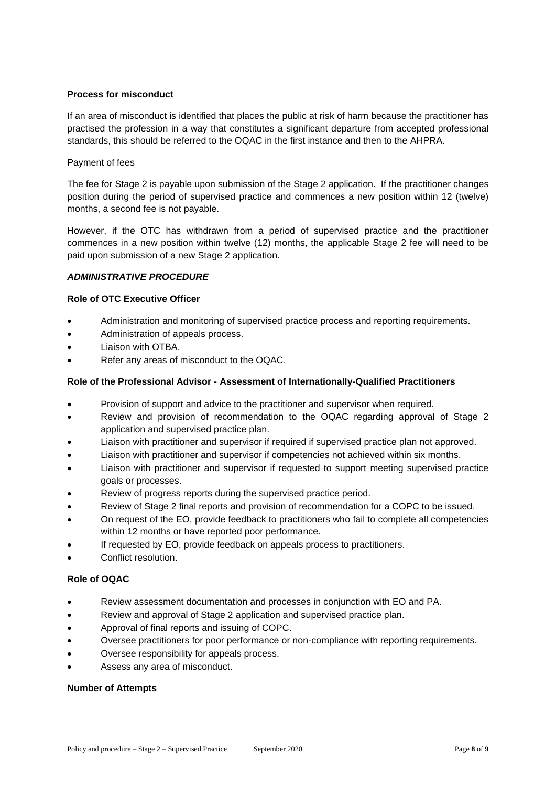## **Process for misconduct**

If an area of misconduct is identified that places the public at risk of harm because the practitioner has practised the profession in a way that constitutes a significant departure from accepted professional standards, this should be referred to the OQAC in the first instance and then to the AHPRA.

## Payment of fees

The fee for Stage 2 is payable upon submission of the Stage 2 application. If the practitioner changes position during the period of supervised practice and commences a new position within 12 (twelve) months, a second fee is not payable.

However, if the OTC has withdrawn from a period of supervised practice and the practitioner commences in a new position within twelve (12) months, the applicable Stage 2 fee will need to be paid upon submission of a new Stage 2 application.

## *ADMINISTRATIVE PROCEDURE*

## **Role of OTC Executive Officer**

- Administration and monitoring of supervised practice process and reporting requirements.
- Administration of appeals process.
- Liaison with OTBA.
- Refer any areas of misconduct to the OQAC.

## **Role of the Professional Advisor - Assessment of Internationally-Qualified Practitioners**

- Provision of support and advice to the practitioner and supervisor when required.
- Review and provision of recommendation to the OQAC regarding approval of Stage 2 application and supervised practice plan.
- Liaison with practitioner and supervisor if required if supervised practice plan not approved.
- Liaison with practitioner and supervisor if competencies not achieved within six months.
- Liaison with practitioner and supervisor if requested to support meeting supervised practice goals or processes.
- Review of progress reports during the supervised practice period.
- Review of Stage 2 final reports and provision of recommendation for a COPC to be issued.
- On request of the EO, provide feedback to practitioners who fail to complete all competencies within 12 months or have reported poor performance.
- If requested by EO, provide feedback on appeals process to practitioners.
- Conflict resolution.

## **Role of OQAC**

- Review assessment documentation and processes in conjunction with EO and PA.
- Review and approval of Stage 2 application and supervised practice plan.
- Approval of final reports and issuing of COPC.
- Oversee practitioners for poor performance or non-compliance with reporting requirements.
- Oversee responsibility for appeals process.
- Assess any area of misconduct.

## **Number of Attempts**